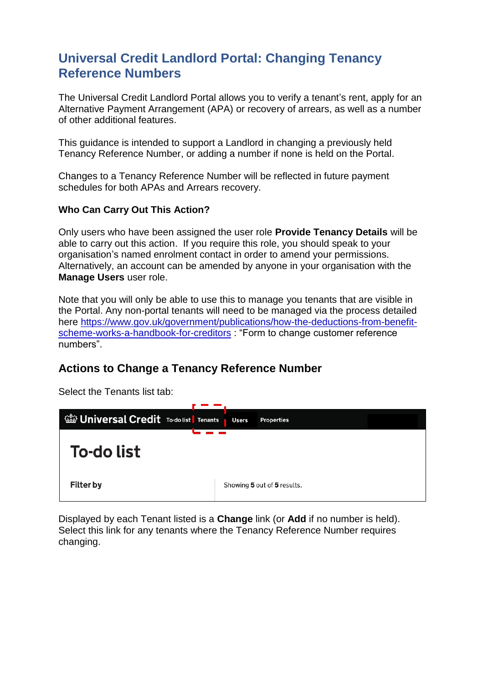## **Universal Credit Landlord Portal: Changing Tenancy Reference Numbers**

The Universal Credit Landlord Portal allows you to verify a tenant's rent, apply for an Alternative Payment Arrangement (APA) or recovery of arrears, as well as a number of other additional features.

This guidance is intended to support a Landlord in changing a previously held Tenancy Reference Number, or adding a number if none is held on the Portal.

Changes to a Tenancy Reference Number will be reflected in future payment schedules for both APAs and Arrears recovery.

## **Who Can Carry Out This Action?**

Only users who have been assigned the user role **Provide Tenancy Details** will be able to carry out this action. If you require this role, you should speak to your organisation's named enrolment contact in order to amend your permissions. Alternatively, an account can be amended by anyone in your organisation with the **Manage Users** user role.

Note that you will only be able to use this to manage you tenants that are visible in the Portal. Any non-portal tenants will need to be managed via the process detailed here [https://www.gov.uk/government/publications/how-the-deductions-from-benefit](https://www.gov.uk/government/publications/how-the-deductions-from-benefit-scheme-works-a-handbook-for-creditors)[scheme-works-a-handbook-for-creditors](https://www.gov.uk/government/publications/how-the-deductions-from-benefit-scheme-works-a-handbook-for-creditors) : "Form to change customer reference numbers".

## **Actions to Change a Tenancy Reference Number**

Select the Tenants list tab:



Displayed by each Tenant listed is a **Change** link (or **Add** if no number is held). Select this link for any tenants where the Tenancy Reference Number requires changing.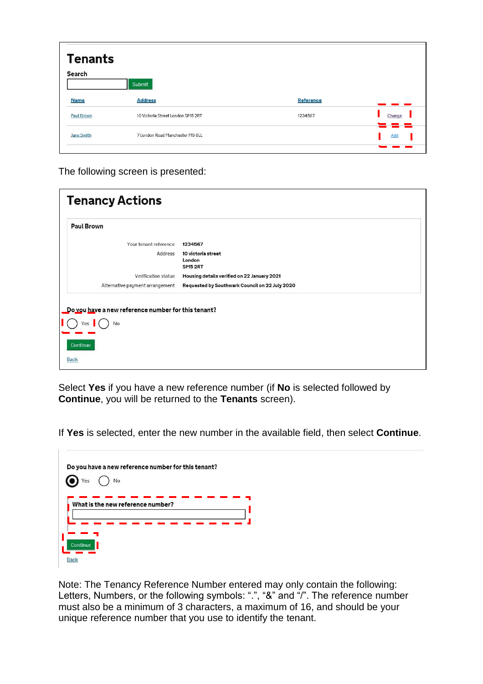| <b>Tenants</b><br>Search | Submit                            |                  |        |
|--------------------------|-----------------------------------|------------------|--------|
| <b>Name</b>              | <b>Address</b>                    | <b>Reference</b> |        |
| <b>Paul Brown</b>        | 10 Victoria Street London SM5 2RT | 1234567          | Change |
| <b>Jane Smith</b>        | 7 London Road Manchester M5 6LL   |                  | Add    |
|                          |                                   |                  |        |

The following screen is presented:

| <b>Tenancy Actions</b>                                           |                                                |
|------------------------------------------------------------------|------------------------------------------------|
| Paul Brown                                                       |                                                |
| Your tenant reference                                            | 1234567                                        |
| Address                                                          | 10 victoria street<br>London<br>SM52RT         |
| Verification status                                              | Housing details verified on 22 January 2021    |
| Alternative payment arrangement                                  | Requested by Southwark Council on 22 July 2020 |
| Do you have a new reference number for this tenant?<br>Yes<br>No |                                                |
| Continue<br><b>Back</b>                                          |                                                |

Select **Yes** if you have a new reference number (if **No** is selected followed by **Continue**, you will be returned to the **Tenants** screen).

If **Yes** is selected, enter the new number in the available field, then select **Continue**.

| Do you have a new reference number for this tenant?<br>Yes<br>No |
|------------------------------------------------------------------|
| What is the new reference number?                                |
| Continue<br><b>Back</b>                                          |

 $\mathbb{R}$ 

Note: The Tenancy Reference Number entered may only contain the following: Letters, Numbers, or the following symbols: ".", "&" and "/". The reference number must also be a minimum of 3 characters, a maximum of 16, and should be your unique reference number that you use to identify the tenant.